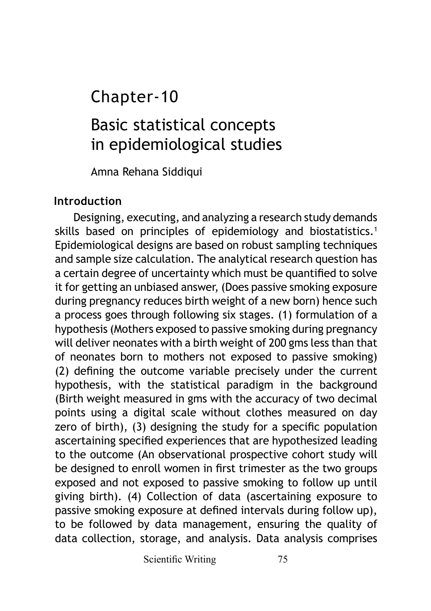## Chapter-10

# Basic statistical concepts in epidemiological studies

Amna Rehana Siddiqui

## **Introduction**

Designing, executing, and analyzing a research study demands skills based on principles of epidemiology and biostatistics.<sup>1</sup> Epidemiological designs are based on robust sampling techniques and sample size calculation. The analytical research question has a certain degree of uncertainty which must be quantified to solve it for getting an unbiased answer, (Does passive smoking exposure during pregnancy reduces birth weight of a new born) hence such a process goes through following six stages. (1) formulation of a hypothesis (Mothers exposed to passive smoking during pregnancy will deliver neonates with a birth weight of 200 gms less than that of neonates born to mothers not exposed to passive smoking) (2) defining the outcome variable precisely under the current hypothesis, with the statistical paradigm in the background (Birth weight measured in gms with the accuracy of two decimal points using a digital scale without clothes measured on day zero of birth), (3) designing the study for a specific population ascertaining specified experiences that are hypothesized leading to the outcome (An observational prospective cohort study will be designed to enroll women in first trimester as the two groups exposed and not exposed to passive smoking to follow up until giving birth). (4) Collection of data (ascertaining exposure to passive smoking exposure at defined intervals during follow up), to be followed by data management, ensuring the quality of data collection, storage, and analysis. Data analysis comprises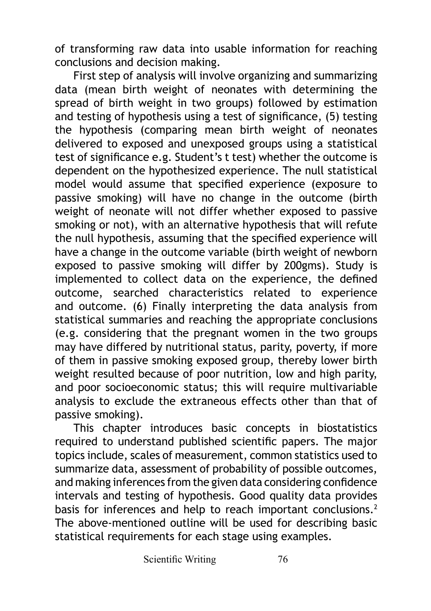of transforming raw data into usable information for reaching conclusions and decision making.

First step of analysis will involve organizing and summarizing data (mean birth weight of neonates with determining the spread of birth weight in two groups) followed by estimation and testing of hypothesis using a test of significance, (5) testing the hypothesis (comparing mean birth weight of neonates delivered to exposed and unexposed groups using a statistical test of significance e.g. Student's t test) whether the outcome is dependent on the hypothesized experience. The null statistical model would assume that specified experience (exposure to passive smoking) will have no change in the outcome (birth weight of neonate will not differ whether exposed to passive smoking or not), with an alternative hypothesis that will refute the null hypothesis, assuming that the specified experience will have a change in the outcome variable (birth weight of newborn exposed to passive smoking will differ by 200gms). Study is implemented to collect data on the experience, the defined outcome, searched characteristics related to experience and outcome. (6) Finally interpreting the data analysis from statistical summaries and reaching the appropriate conclusions (e.g. considering that the pregnant women in the two groups may have differed by nutritional status, parity, poverty, if more of them in passive smoking exposed group, thereby lower birth weight resulted because of poor nutrition, low and high parity, and poor socioeconomic status; this will require multivariable analysis to exclude the extraneous effects other than that of passive smoking).

This chapter introduces basic concepts in biostatistics required to understand published scientific papers. The major topics include, scales of measurement, common statistics used to summarize data, assessment of probability of possible outcomes, and making inferences from the given data considering confidence intervals and testing of hypothesis. Good quality data provides basis for inferences and help to reach important conclusions.<sup>2</sup> The above-mentioned outline will be used for describing basic statistical requirements for each stage using examples.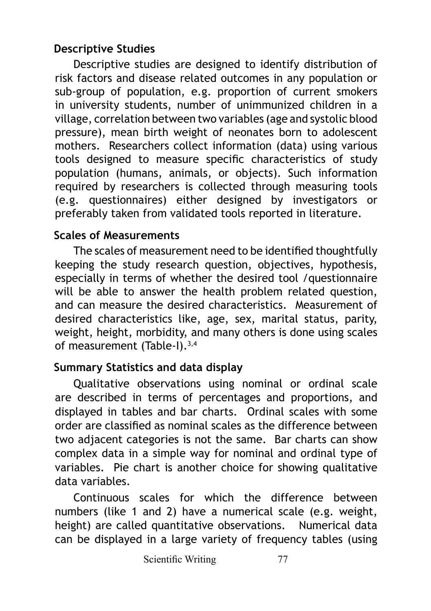## **Descriptive Studies**

Descriptive studies are designed to identify distribution of risk factors and disease related outcomes in any population or sub-group of population, e.g. proportion of current smokers in university students, number of unimmunized children in a village, correlation between two variables (age and systolic blood pressure), mean birth weight of neonates born to adolescent mothers. Researchers collect information (data) using various tools designed to measure specific characteristics of study population (humans, animals, or objects). Such information required by researchers is collected through measuring tools (e.g. questionnaires) either designed by investigators or preferably taken from validated tools reported in literature.

### **Scales of Measurements**

The scales of measurement need to be identified thoughtfully keeping the study research question, objectives, hypothesis, especially in terms of whether the desired tool /questionnaire will be able to answer the health problem related question, and can measure the desired characteristics. Measurement of desired characteristics like, age, sex, marital status, parity, weight, height, morbidity, and many others is done using scales of measurement (Table-I).3,4

### **Summary Statistics and data display**

Qualitative observations using nominal or ordinal scale are described in terms of percentages and proportions, and displayed in tables and bar charts. Ordinal scales with some order are classified as nominal scales as the difference between two adjacent categories is not the same. Bar charts can show complex data in a simple way for nominal and ordinal type of variables. Pie chart is another choice for showing qualitative data variables.

Continuous scales for which the difference between numbers (like 1 and 2) have a numerical scale (e.g. weight, height) are called quantitative observations. Numerical data can be displayed in a large variety of frequency tables (using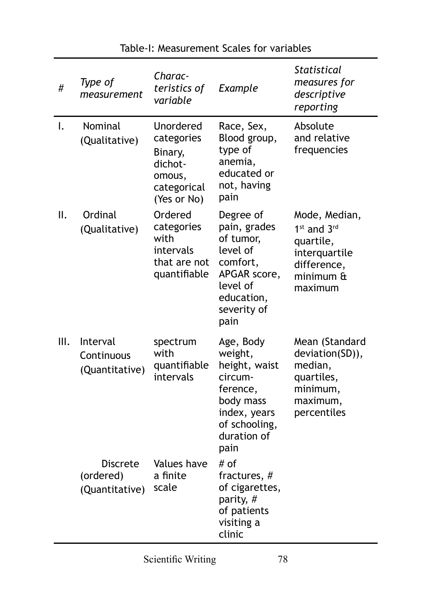| #    | Type of<br>measurement                   | Charac-<br>teristics of<br>variable                                                   | Example                                                                                                                           | <b>Statistical</b><br>measures for<br>descriptive<br>reporting                                                |
|------|------------------------------------------|---------------------------------------------------------------------------------------|-----------------------------------------------------------------------------------------------------------------------------------|---------------------------------------------------------------------------------------------------------------|
| I.   | Nominal<br>(Qualitative)                 | Unordered<br>categories<br>Binary,<br>dichot-<br>omous,<br>categorical<br>(Yes or No) | Race, Sex,<br>Blood group,<br>type of<br>anemia,<br>educated or<br>not, having<br>pain                                            | Absolute<br>and relative<br>frequencies                                                                       |
| ΙΙ.  | Ordinal<br>(Qualitative)                 | Ordered<br>categories<br>with<br>intervals<br>that are not<br>quantifiable            | Degree of<br>pain, grades<br>of tumor,<br>level of<br>comfort,<br>APGAR score,<br>level of<br>education,<br>severity of<br>pain   | Mode, Median,<br>1 <sup>st</sup> and 3rd<br>quartile,<br>interquartile<br>difference,<br>minimum &<br>maximum |
| III. | Interval<br>Continuous<br>(Quantitative) | spectrum<br>with<br>quantifiable<br>intervals                                         | Age, Body<br>weight,<br>height, waist<br>circum-<br>ference,<br>body mass<br>index, years<br>of schooling,<br>duration of<br>pain | Mean (Standard<br>deviation(SD)),<br>median,<br>quartiles,<br>minimum,<br>maximum,<br>percentiles             |
|      | Discrete<br>(ordered)<br>(Quantitative)  | Values have<br>a finite<br>scale                                                      | # of<br>fractures, #<br>of cigarettes,<br>parity, #<br>of patients<br>visiting a<br>clinic                                        |                                                                                                               |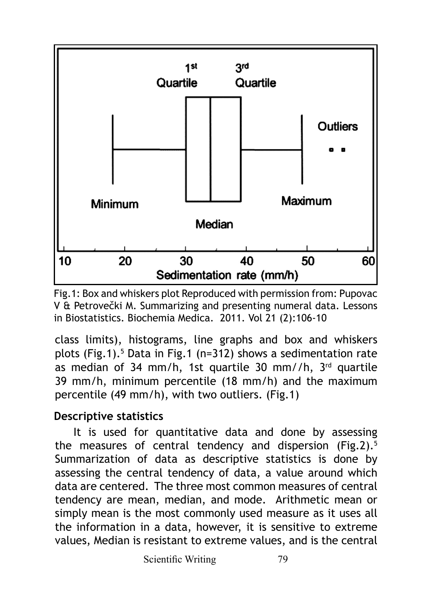

Fig.1: Box and whiskers plot Reproduced with permission from: Pupovac V & Petrovečki M. Summarizing and presenting numeral data. Lessons in Biostatistics. Biochemia Medica. 2011. Vol 21 (2):106-10

class limits), histograms, line graphs and box and whiskers plots (Fig.1).<sup>5</sup> Data in Fig.1 (n=312) shows a sedimentation rate as median of 34 mm/h, 1st quartile 30 mm//h,  $3<sup>rd</sup>$  quartile 39 mm/h, minimum percentile (18 mm/h) and the maximum percentile (49 mm/h), with two outliers. (Fig.1)

### **Descriptive statistics**

It is used for quantitative data and done by assessing the measures of central tendency and dispersion (Fig.2). $5$ Summarization of data as descriptive statistics is done by assessing the central tendency of data, a value around which data are centered. The three most common measures of central tendency are mean, median, and mode. Arithmetic mean or simply mean is the most commonly used measure as it uses all the information in a data, however, it is sensitive to extreme values, Median is resistant to extreme values, and is the central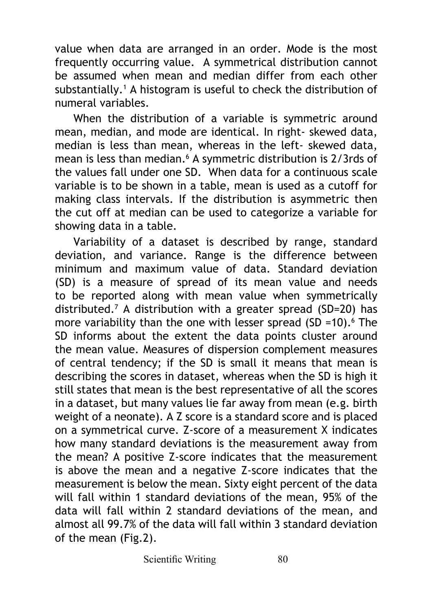value when data are arranged in an order. Mode is the most frequently occurring value. A symmetrical distribution cannot be assumed when mean and median differ from each other substantially.1 A histogram is useful to check the distribution of numeral variables.

When the distribution of a variable is symmetric around mean, median, and mode are identical. In right- skewed data, median is less than mean, whereas in the left- skewed data, mean is less than median.6 A symmetric distribution is 2/3rds of the values fall under one SD. When data for a continuous scale variable is to be shown in a table, mean is used as a cutoff for making class intervals. If the distribution is asymmetric then the cut off at median can be used to categorize a variable for showing data in a table.

Variability of a dataset is described by range, standard deviation, and variance. Range is the difference between minimum and maximum value of data. Standard deviation (SD) is a measure of spread of its mean value and needs to be reported along with mean value when symmetrically distributed.<sup>7</sup> A distribution with a greater spread (SD=20) has more variability than the one with lesser spread  $(SD = 10).$  The SD informs about the extent the data points cluster around the mean value. Measures of dispersion complement measures of central tendency; if the SD is small it means that mean is describing the scores in dataset, whereas when the SD is high it still states that mean is the best representative of all the scores in a dataset, but many values lie far away from mean (e.g. birth weight of a neonate). A Z score is a standard score and is placed on a symmetrical curve. Z-score of a measurement X indicates how many standard deviations is the measurement away from the mean? A positive Z-score indicates that the measurement is above the mean and a negative Z-score indicates that the measurement is below the mean. Sixty eight percent of the data will fall within 1 standard deviations of the mean, 95% of the data will fall within 2 standard deviations of the mean, and almost all 99.7% of the data will fall within 3 standard deviation of the mean (Fig.2).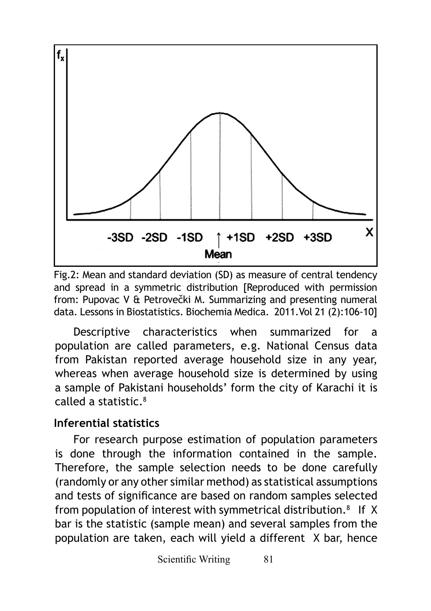

Fig.2: Mean and standard deviation (SD) as measure of central tendency and spread in a symmetric distribution [Reproduced with permission from: Pupovac V & Petrovečki M. Summarizing and presenting numeral data. Lessons in Biostatistics. Biochemia Medica. 2011.Vol 21 (2):106-10]

Descriptive characteristics when summarized for a population are called parameters, e.g. National Census data from Pakistan reported average household size in any year, whereas when average household size is determined by using a sample of Pakistani households' form the city of Karachi it is called a statistic.8

#### **Inferential statistics**

For research purpose estimation of population parameters is done through the information contained in the sample. Therefore, the sample selection needs to be done carefully (randomly or any other similar method) as statistical assumptions and tests of significance are based on random samples selected from population of interest with symmetrical distribution. $8$  If X bar is the statistic (sample mean) and several samples from the population are taken, each will yield a different X bar, hence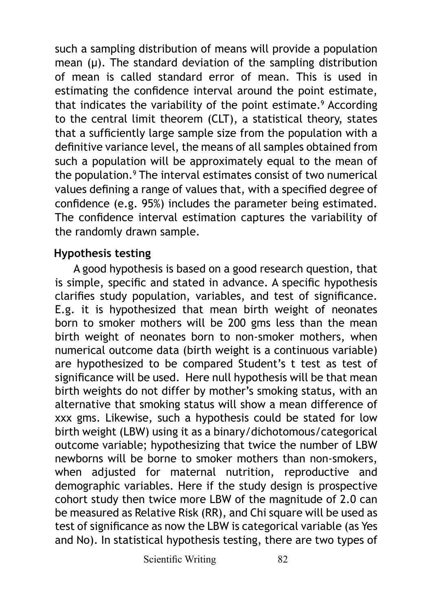such a sampling distribution of means will provide a population mean  $(\mu)$ . The standard deviation of the sampling distribution of mean is called standard error of mean. This is used in estimating the confidence interval around the point estimate, that indicates the variability of the point estimate.<sup>9</sup> According to the central limit theorem (CLT), a statistical theory, states that a sufficiently large sample size from the population with a definitive variance level, the means of all samples obtained from such a population will be approximately equal to the mean of the population.<sup>9</sup> The interval estimates consist of two numerical values defining a range of values that, with a specified degree of confidence (e.g. 95%) includes the parameter being estimated. The confidence interval estimation captures the variability of the randomly drawn sample.

#### **Hypothesis testing**

A good hypothesis is based on a good research question, that is simple, specific and stated in advance. A specific hypothesis clarifies study population, variables, and test of significance. E.g. it is hypothesized that mean birth weight of neonates born to smoker mothers will be 200 gms less than the mean birth weight of neonates born to non-smoker mothers, when numerical outcome data (birth weight is a continuous variable) are hypothesized to be compared Student's t test as test of significance will be used. Here null hypothesis will be that mean birth weights do not differ by mother's smoking status, with an alternative that smoking status will show a mean difference of xxx gms. Likewise, such a hypothesis could be stated for low birth weight (LBW) using it as a binary/dichotomous/categorical outcome variable; hypothesizing that twice the number of LBW newborns will be borne to smoker mothers than non-smokers, when adjusted for maternal nutrition, reproductive and demographic variables. Here if the study design is prospective cohort study then twice more LBW of the magnitude of 2.0 can be measured as Relative Risk (RR), and Chi square will be used as test of significance as now the LBW is categorical variable (as Yes and No). In statistical hypothesis testing, there are two types of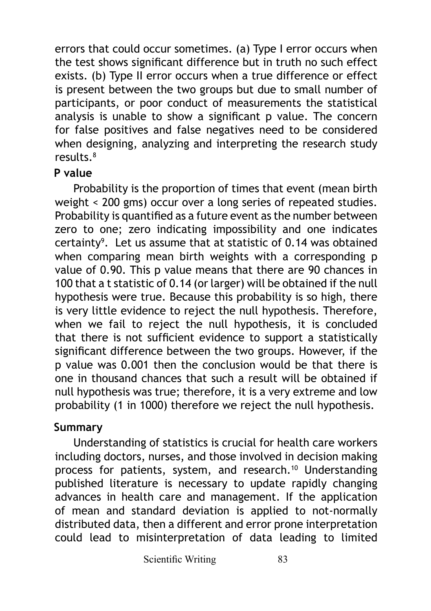errors that could occur sometimes. (a) Type I error occurs when the test shows significant difference but in truth no such effect exists. (b) Type II error occurs when a true difference or effect is present between the two groups but due to small number of participants, or poor conduct of measurements the statistical analysis is unable to show a significant p value. The concern for false positives and false negatives need to be considered when designing, analyzing and interpreting the research study results.8

#### **P value**

Probability is the proportion of times that event (mean birth weight < 200 gms) occur over a long series of repeated studies. Probability is quantified as a future event as the number between zero to one; zero indicating impossibility and one indicates certainty9 . Let us assume that at statistic of 0.14 was obtained when comparing mean birth weights with a corresponding p value of 0.90. This p value means that there are 90 chances in 100 that a t statistic of 0.14 (or larger) will be obtained if the null hypothesis were true. Because this probability is so high, there is very little evidence to reject the null hypothesis. Therefore, when we fail to reject the null hypothesis, it is concluded that there is not sufficient evidence to support a statistically significant difference between the two groups. However, if the p value was 0.001 then the conclusion would be that there is one in thousand chances that such a result will be obtained if null hypothesis was true; therefore, it is a very extreme and low probability (1 in 1000) therefore we reject the null hypothesis.

#### **Summary**

Understanding of statistics is crucial for health care workers including doctors, nurses, and those involved in decision making process for patients, system, and research.<sup>10</sup> Understanding published literature is necessary to update rapidly changing advances in health care and management. If the application of mean and standard deviation is applied to not-normally distributed data, then a different and error prone interpretation could lead to misinterpretation of data leading to limited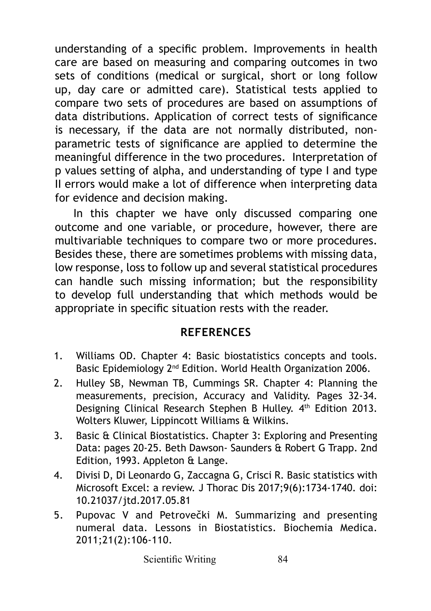understanding of a specific problem. Improvements in health care are based on measuring and comparing outcomes in two sets of conditions (medical or surgical, short or long follow up, day care or admitted care). Statistical tests applied to compare two sets of procedures are based on assumptions of data distributions. Application of correct tests of significance is necessary, if the data are not normally distributed, nonparametric tests of significance are applied to determine the meaningful difference in the two procedures. Interpretation of p values setting of alpha, and understanding of type I and type II errors would make a lot of difference when interpreting data for evidence and decision making.

In this chapter we have only discussed comparing one outcome and one variable, or procedure, however, there are multivariable techniques to compare two or more procedures. Besides these, there are sometimes problems with missing data, low response, loss to follow up and several statistical procedures can handle such missing information; but the responsibility to develop full understanding that which methods would be appropriate in specific situation rests with the reader.

#### **REFERENCES**

- 1. Williams OD. Chapter 4: Basic biostatistics concepts and tools. Basic Epidemiology 2<sup>nd</sup> Edition. World Health Organization 2006.
- 2. Hulley SB, Newman TB, Cummings SR. Chapter 4: Planning the measurements, precision, Accuracy and Validity. Pages 32-34. Designing Clinical Research Stephen B Hulley. 4th Edition 2013. Wolters Kluwer, Lippincott Williams & Wilkins.
- 3. Basic & Clinical Biostatistics. Chapter 3: Exploring and Presenting Data: pages 20-25. Beth Dawson- Saunders & Robert G Trapp. 2nd Edition, 1993. Appleton & Lange.
- 4. Divisi D, Di Leonardo G, Zaccagna G, Crisci R. Basic statistics with Microsoft Excel: a review. J Thorac Dis 2017;9(6):1734-1740. doi: 10.21037/jtd.2017.05.81
- 5. Pupovac V and Petrovečki M. Summarizing and presenting numeral data. Lessons in Biostatistics. Biochemia Medica. 2011;21(2):106-110.